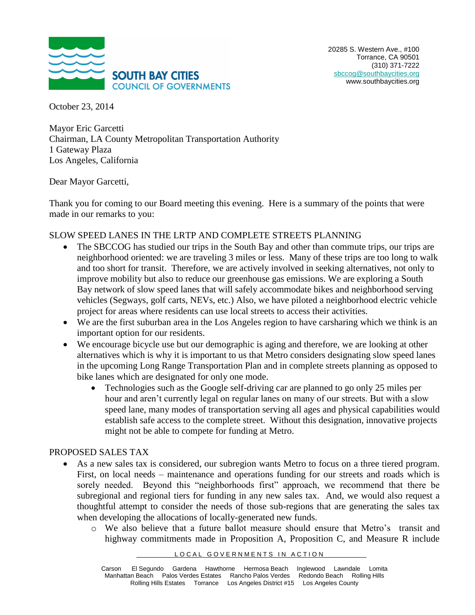

October 23, 2014

Mayor Eric Garcetti Chairman, LA County Metropolitan Transportation Authority 1 Gateway Plaza Los Angeles, California

#### Dear Mayor Garcetti,

Thank you for coming to our Board meeting this evening. Here is a summary of the points that were made in our remarks to you:

## SLOW SPEED LANES IN THE LRTP AND COMPLETE STREETS PLANNING

- The SBCCOG has studied our trips in the South Bay and other than commute trips, our trips are neighborhood oriented: we are traveling 3 miles or less. Many of these trips are too long to walk and too short for transit. Therefore, we are actively involved in seeking alternatives, not only to improve mobility but also to reduce our greenhouse gas emissions. We are exploring a South Bay network of slow speed lanes that will safely accommodate bikes and neighborhood serving vehicles (Segways, golf carts, NEVs, etc.) Also, we have piloted a neighborhood electric vehicle project for areas where residents can use local streets to access their activities.
- We are the first suburban area in the Los Angeles region to have carsharing which we think is an important option for our residents.
- We encourage bicycle use but our demographic is aging and therefore, we are looking at other alternatives which is why it is important to us that Metro considers designating slow speed lanes in the upcoming Long Range Transportation Plan and in complete streets planning as opposed to bike lanes which are designated for only one mode.
	- Technologies such as the Google self-driving car are planned to go only 25 miles per hour and aren't currently legal on regular lanes on many of our streets. But with a slow speed lane, many modes of transportation serving all ages and physical capabilities would establish safe access to the complete street. Without this designation, innovative projects might not be able to compete for funding at Metro.

## PROPOSED SALES TAX

- As a new sales tax is considered, our subregion wants Metro to focus on a three tiered program. First, on local needs – maintenance and operations funding for our streets and roads which is sorely needed. Beyond this "neighborhoods first" approach, we recommend that there be subregional and regional tiers for funding in any new sales tax. And, we would also request a thoughtful attempt to consider the needs of those sub-regions that are generating the sales tax when developing the allocations of locally-generated new funds.
	- o We also believe that a future ballot measure should ensure that Metro's transit and highway commitments made in Proposition A, Proposition C, and Measure R include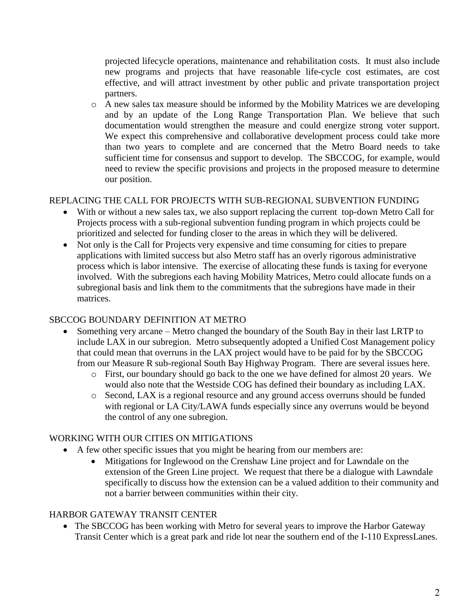projected lifecycle operations, maintenance and rehabilitation costs. It must also include new programs and projects that have reasonable life-cycle cost estimates, are cost effective, and will attract investment by other public and private transportation project partners.

o A new sales tax measure should be informed by the Mobility Matrices we are developing and by an update of the Long Range Transportation Plan. We believe that such documentation would strengthen the measure and could energize strong voter support. We expect this comprehensive and collaborative development process could take more than two years to complete and are concerned that the Metro Board needs to take sufficient time for consensus and support to develop. The SBCCOG, for example, would need to review the specific provisions and projects in the proposed measure to determine our position.

# REPLACING THE CALL FOR PROJECTS WITH SUB-REGIONAL SUBVENTION FUNDING

- With or without a new sales tax, we also support replacing the current top-down Metro Call for Projects process with a sub-regional subvention funding program in which projects could be prioritized and selected for funding closer to the areas in which they will be delivered.
- Not only is the Call for Projects very expensive and time consuming for cities to prepare applications with limited success but also Metro staff has an overly rigorous administrative process which is labor intensive. The exercise of allocating these funds is taxing for everyone involved. With the subregions each having Mobility Matrices, Metro could allocate funds on a subregional basis and link them to the commitments that the subregions have made in their matrices.

## SBCCOG BOUNDARY DEFINITION AT METRO

- Something very arcane Metro changed the boundary of the South Bay in their last LRTP to include LAX in our subregion. Metro subsequently adopted a Unified Cost Management policy that could mean that overruns in the LAX project would have to be paid for by the SBCCOG from our Measure R sub-regional South Bay Highway Program. There are several issues here.
	- o First, our boundary should go back to the one we have defined for almost 20 years. We would also note that the Westside COG has defined their boundary as including LAX.
	- o Second, LAX is a regional resource and any ground access overruns should be funded with regional or LA City/LAWA funds especially since any overruns would be beyond the control of any one subregion.

# WORKING WITH OUR CITIES ON MITIGATIONS

- A few other specific issues that you might be hearing from our members are:
	- Mitigations for Inglewood on the Crenshaw Line project and for Lawndale on the extension of the Green Line project. We request that there be a dialogue with Lawndale specifically to discuss how the extension can be a valued addition to their community and not a barrier between communities within their city.

# HARBOR GATEWAY TRANSIT CENTER

• The SBCCOG has been working with Metro for several years to improve the Harbor Gateway Transit Center which is a great park and ride lot near the southern end of the I-110 ExpressLanes.